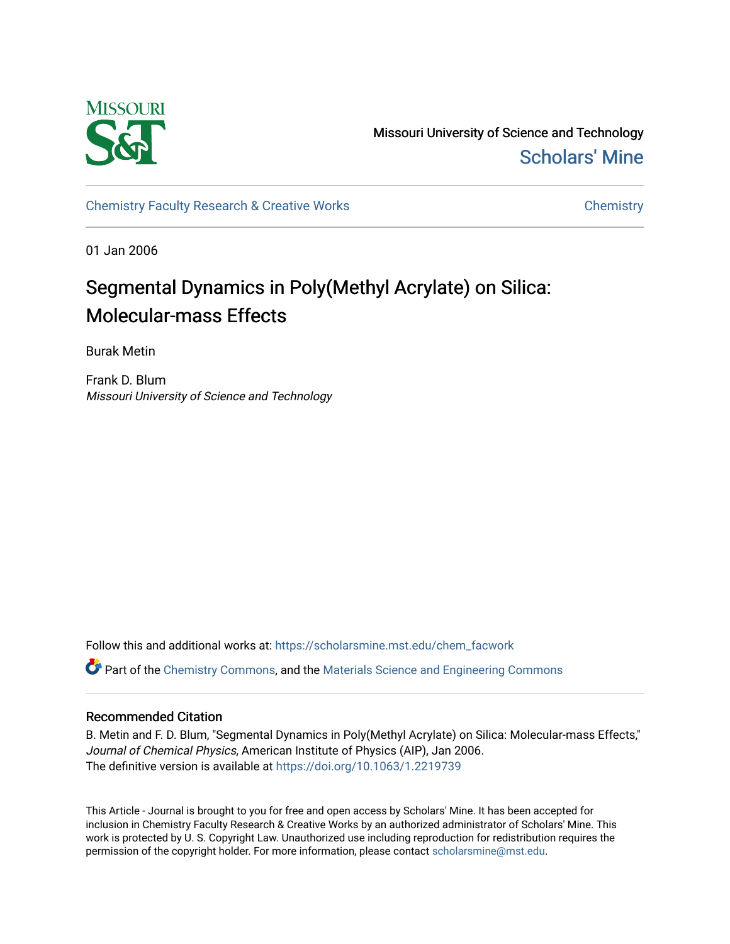

Missouri University of Science and Technology [Scholars' Mine](https://scholarsmine.mst.edu/) 

[Chemistry Faculty Research & Creative Works](https://scholarsmine.mst.edu/chem_facwork) [Chemistry](https://scholarsmine.mst.edu/chem) Chemistry

01 Jan 2006

# Segmental Dynamics in Poly(Methyl Acrylate) on Silica: Molecular-mass Effects

Burak Metin

Frank D. Blum Missouri University of Science and Technology

Follow this and additional works at: [https://scholarsmine.mst.edu/chem\\_facwork](https://scholarsmine.mst.edu/chem_facwork?utm_source=scholarsmine.mst.edu%2Fchem_facwork%2F2421&utm_medium=PDF&utm_campaign=PDFCoverPages)

Part of the [Chemistry Commons,](http://network.bepress.com/hgg/discipline/131?utm_source=scholarsmine.mst.edu%2Fchem_facwork%2F2421&utm_medium=PDF&utm_campaign=PDFCoverPages) and the [Materials Science and Engineering Commons](http://network.bepress.com/hgg/discipline/285?utm_source=scholarsmine.mst.edu%2Fchem_facwork%2F2421&utm_medium=PDF&utm_campaign=PDFCoverPages)

## Recommended Citation

B. Metin and F. D. Blum, "Segmental Dynamics in Poly(Methyl Acrylate) on Silica: Molecular-mass Effects," Journal of Chemical Physics, American Institute of Physics (AIP), Jan 2006. The definitive version is available at <https://doi.org/10.1063/1.2219739>

This Article - Journal is brought to you for free and open access by Scholars' Mine. It has been accepted for inclusion in Chemistry Faculty Research & Creative Works by an authorized administrator of Scholars' Mine. This work is protected by U. S. Copyright Law. Unauthorized use including reproduction for redistribution requires the permission of the copyright holder. For more information, please contact [scholarsmine@mst.edu](mailto:scholarsmine@mst.edu).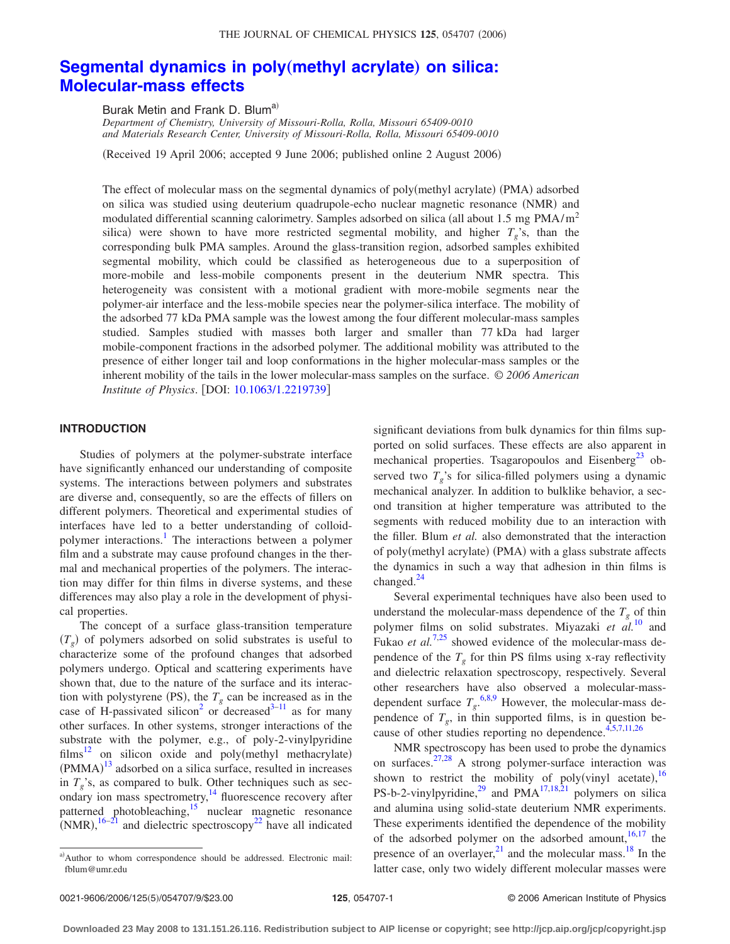# **[Segmental dynamics in poly](http://dx.doi.org/10.1063/1.2219739)** (methyl acrylate) on silica: **[Molecular-mass effects](http://dx.doi.org/10.1063/1.2219739)**

Burak Metin and Frank D. Blum<sup>a)</sup>

*Department of Chemistry, University of Missouri-Rolla, Rolla, Missouri 65409-0010 and Materials Research Center, University of Missouri-Rolla, Rolla, Missouri 65409-0010*

Received 19 April 2006; accepted 9 June 2006; published online 2 August 2006-

The effect of molecular mass on the segmental dynamics of poly(methyl acrylate) (PMA) adsorbed on silica was studied using deuterium quadrupole-echo nuclear magnetic resonance (NMR) and modulated differential scanning calorimetry. Samples adsorbed on silica (all about 1.5 mg  $PMA/m<sup>2</sup>$ silica) were shown to have more restricted segmental mobility, and higher  $T_g$ 's, than the corresponding bulk PMA samples. Around the glass-transition region, adsorbed samples exhibited segmental mobility, which could be classified as heterogeneous due to a superposition of more-mobile and less-mobile components present in the deuterium NMR spectra. This heterogeneity was consistent with a motional gradient with more-mobile segments near the polymer-air interface and the less-mobile species near the polymer-silica interface. The mobility of the adsorbed 77 kDa PMA sample was the lowest among the four different molecular-mass samples studied. Samples studied with masses both larger and smaller than 77 kDa had larger mobile-component fractions in the adsorbed polymer. The additional mobility was attributed to the presence of either longer tail and loop conformations in the higher molecular-mass samples or the inherent mobility of the tails in the lower molecular-mass samples on the surface. © *2006 American Institute of Physics.* [DOI: [10.1063/1.2219739](http://dx.doi.org/10.1063/1.2219739)]

#### **INTRODUCTION**

Studies of polymers at the polymer-substrate interface have significantly enhanced our understanding of composite systems. The interactions between polymers and substrates are diverse and, consequently, so are the effects of fillers on different polymers. Theoretical and experimental studies of interfaces have led to a better understanding of colloidpolymer interactions.<sup>1</sup> The interactions between a polymer film and a substrate may cause profound changes in the thermal and mechanical properties of the polymers. The interaction may differ for thin films in diverse systems, and these differences may also play a role in the development of physical properties.

The concept of a surface glass-transition temperature  $(T<sub>g</sub>)$  of polymers adsorbed on solid substrates is useful to characterize some of the profound changes that adsorbed polymers undergo. Optical and scattering experiments have shown that, due to the nature of the surface and its interaction with polystyrene (PS), the  $T_g$  can be increased as in the case of H-passivated silicon<sup>2</sup> or decreased<sup>3-11</sup> as for many other surfaces. In other systems, stronger interactions of the substrate with the polymer, e.g., of poly-2-vinylpyridine  $films<sup>12</sup>$  on silicon oxide and poly(methyl methacrylate)  $(PMMA)^{13}$  $(PMMA)^{13}$  $(PMMA)^{13}$  adsorbed on a silica surface, resulted in increases in  $T_g$ 's, as compared to bulk. Other techniques such as secondary ion mass spectrometry,<sup>14</sup> fluorescence recovery after patterned photobleaching,<sup>15</sup> nuclear magnetic resonance  $(NMR)$ ,  $^{16-21}$  and dielectric spectroscopy<sup>22</sup> have all indicated

significant deviations from bulk dynamics for thin films supported on solid surfaces. These effects are also apparent in mechanical properties. Tsagaropoulos and Eisenberg<sup>23</sup> observed two  $T_g$ 's for silica-filled polymers using a dynamic mechanical analyzer. In addition to bulklike behavior, a second transition at higher temperature was attributed to the segments with reduced mobility due to an interaction with the filler. Blum *et al.* also demonstrated that the interaction of poly(methyl acrylate) (PMA) with a glass substrate affects the dynamics in such a way that adhesion in thin films is changed. $^{24}$ 

Several experimental techniques have also been used to understand the molecular-mass dependence of the  $T<sub>g</sub>$  of thin polymer films on solid substrates. Miyazaki *et al.*[10](#page-8-0) and Fukao *et al.*<sup>[7,25](#page-8-0)</sup> showed evidence of the molecular-mass dependence of the  $T_g$  for thin PS films using x-ray reflectivity and dielectric relaxation spectroscopy, respectively. Several other researchers have also observed a molecular-massdependent surface  $T_g$ .<sup>[6,8,9](#page-8-0)</sup> However, the molecular-mass dependence of  $T_g$ , in thin supported films, is in question because of other studies reporting no dependence.  $4,5,7,11,26$ 

NMR spectroscopy has been used to probe the dynamics on surfaces.<sup>27,28</sup> A strong polymer-surface interaction was shown to restrict the mobility of poly(vinyl acetate),  $\frac{16}{16}$  $\frac{16}{16}$  $\frac{16}{16}$ PS-b-2-vinylpyridine,<sup>29</sup> and PMA<sup>17,18,21</sup> polymers on silica and alumina using solid-state deuterium NMR experiments. These experiments identified the dependence of the mobility of the adsorbed polymer on the adsorbed amount, $16,17$  the presence of an overlayer, $^{21}$  and the molecular mass.<sup>18</sup> In the latter case, only two widely different molecular masses were

a)Author to whom correspondence should be addressed. Electronic mail: fblum@umr.edu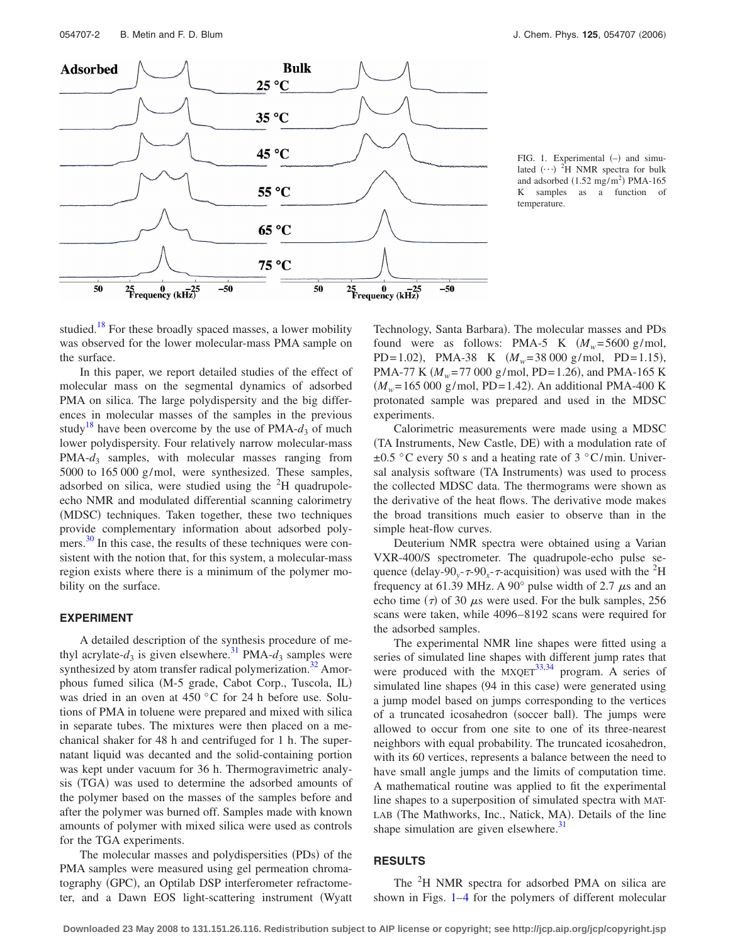<span id="page-2-0"></span>

FIG. 1. Experimental  $(-)$  and simulated  $(\cdots)^2$ H NMR spectra for bulk and adsorbed  $(1.52 \text{ mg/m}^2)$  PMA-165 K samples as a function of temperature.

studied.<sup>18</sup> For these broadly spaced masses, a lower mobility was observed for the lower molecular-mass PMA sample on the surface.

In this paper, we report detailed studies of the effect of molecular mass on the segmental dynamics of adsorbed PMA on silica. The large polydispersity and the big differences in molecular masses of the samples in the previous study<sup>18</sup> have been overcome by the use of PMA- $d_3$  of much lower polydispersity. Four relatively narrow molecular-mass PMA- $d_3$  samples, with molecular masses ranging from 5000 to 165 000 g/mol, were synthesized. These samples, adsorbed on silica, were studied using the  ${}^{2}H$  quadrupoleecho NMR and modulated differential scanning calorimetry (MDSC) techniques. Taken together, these two techniques provide complementary information about adsorbed polymers. $30$  In this case, the results of these techniques were consistent with the notion that, for this system, a molecular-mass region exists where there is a minimum of the polymer mobility on the surface.

#### **EXPERIMENT**

A detailed description of the synthesis procedure of methyl acrylate- $d_3$  is given elsewhere.<sup>31</sup> PMA- $d_3$  samples were synthesized by atom transfer radical polymerization.<sup>32</sup> Amorphous fumed silica (M-5 grade, Cabot Corp., Tuscola, IL) was dried in an oven at 450 °C for 24 h before use. Solutions of PMA in toluene were prepared and mixed with silica in separate tubes. The mixtures were then placed on a mechanical shaker for 48 h and centrifuged for 1 h. The supernatant liquid was decanted and the solid-containing portion was kept under vacuum for 36 h. Thermogravimetric analysis (TGA) was used to determine the adsorbed amounts of the polymer based on the masses of the samples before and after the polymer was burned off. Samples made with known amounts of polymer with mixed silica were used as controls for the TGA experiments.

The molecular masses and polydispersities (PDs) of the PMA samples were measured using gel permeation chromatography (GPC), an Optilab DSP interferometer refractometer, and a Dawn EOS light-scattering instrument Wyatt

Technology, Santa Barbara). The molecular masses and PDs found were as follows: PMA-5 K  $(M_w=5600 \text{ g/mol})$ , PD=1.02), PMA-38 K  $(M_w=38\,000\text{ g/mol}, \text{PD}=1.15)$ , PMA-77 K ( $M_w$ =77 000 g/mol, PD=1.26), and PMA-165 K  $(M_w=165\,000\,$  g/mol, PD=1.42). An additional PMA-400 K protonated sample was prepared and used in the MDSC experiments.

Calorimetric measurements were made using a MDSC (TA Instruments, New Castle, DE) with a modulation rate of  $\pm 0.5$  °C every 50 s and a heating rate of 3 °C/min. Universal analysis software (TA Instruments) was used to process the collected MDSC data. The thermograms were shown as the derivative of the heat flows. The derivative mode makes the broad transitions much easier to observe than in the simple heat-flow curves.

Deuterium NMR spectra were obtained using a Varian VXR-400/S spectrometer. The quadrupole-echo pulse sequence (delay-90<sub>y</sub>- $\tau$ -90<sub>x</sub>- $\tau$ -acquisition) was used with the <sup>2</sup>H frequency at 61.39 MHz. A 90 $^{\circ}$  pulse width of 2.7  $\mu$ s and an echo time  $(\tau)$  of 30  $\mu$ s were used. For the bulk samples, 256 scans were taken, while 4096–8192 scans were required for the adsorbed samples.

The experimental NMR line shapes were fitted using a series of simulated line shapes with different jump rates that were produced with the  $MXQET^{33,34}$  $MXQET^{33,34}$  $MXQET^{33,34}$  program. A series of simulated line shapes (94 in this case) were generated using a jump model based on jumps corresponding to the vertices of a truncated icosahedron (soccer ball). The jumps were allowed to occur from one site to one of its three-nearest neighbors with equal probability. The truncated icosahedron, with its 60 vertices, represents a balance between the need to have small angle jumps and the limits of computation time. A mathematical routine was applied to fit the experimental line shapes to a superposition of simulated spectra with MAT-LAB (The Mathworks, Inc., Natick, MA). Details of the line shape simulation are given elsewhere. $31$ 

## **RESULTS**

The <sup>2</sup>H NMR spectra for adsorbed PMA on silica are shown in Figs. 1[–4](#page-4-0) for the polymers of different molecular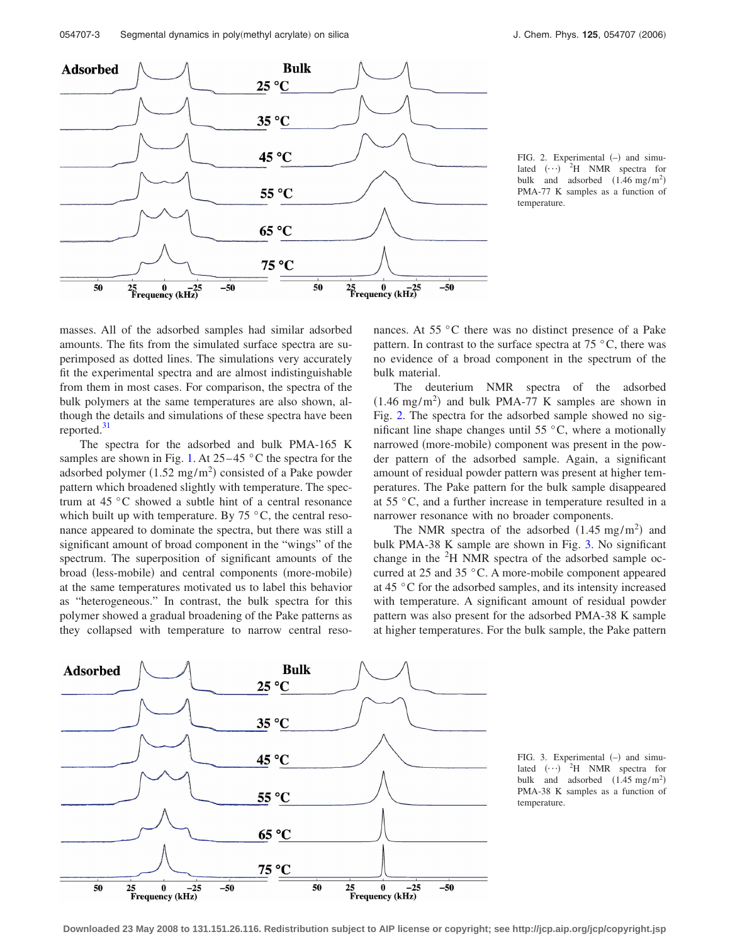

FIG. 2. Experimental (-) and simulated  $(\cdot \cdot)$  <sup>2</sup>H NMR spectra for bulk and adsorbed  $(1.46 \text{ mg/m}^2)$ PMA-77 K samples as a function of temperature.

masses. All of the adsorbed samples had similar adsorbed amounts. The fits from the simulated surface spectra are superimposed as dotted lines. The simulations very accurately fit the experimental spectra and are almost indistinguishable from them in most cases. For comparison, the spectra of the bulk polymers at the same temperatures are also shown, although the details and simulations of these spectra have been reported. $31$ 

The spectra for the adsorbed and bulk PMA-165 K samples are shown in Fig. [1.](#page-2-0) At  $25-45$  °C the spectra for the adsorbed polymer  $(1.52 \text{ mg/m}^2)$  consisted of a Pake powder pattern which broadened slightly with temperature. The spectrum at 45 °C showed a subtle hint of a central resonance which built up with temperature. By  $75 \degree C$ , the central resonance appeared to dominate the spectra, but there was still a significant amount of broad component in the "wings" of the spectrum. The superposition of significant amounts of the broad (less-mobile) and central components (more-mobile) at the same temperatures motivated us to label this behavior as "heterogeneous." In contrast, the bulk spectra for this polymer showed a gradual broadening of the Pake patterns as they collapsed with temperature to narrow central resonances. At 55 °C there was no distinct presence of a Pake pattern. In contrast to the surface spectra at  $75 \degree C$ , there was no evidence of a broad component in the spectrum of the bulk material.

The deuterium NMR spectra of the adsorbed  $(1.46 \text{ mg/m}^2)$  and bulk PMA-77 K samples are shown in Fig. 2. The spectra for the adsorbed sample showed no significant line shape changes until  $55^{\circ}$ C, where a motionally narrowed (more-mobile) component was present in the powder pattern of the adsorbed sample. Again, a significant amount of residual powder pattern was present at higher temperatures. The Pake pattern for the bulk sample disappeared at 55 °C, and a further increase in temperature resulted in a narrower resonance with no broader components.

The NMR spectra of the adsorbed  $(1.45 \text{ mg/m}^2)$  and bulk PMA-38 K sample are shown in Fig. 3. No significant change in the  ${}^{2}H$  NMR spectra of the adsorbed sample occurred at 25 and 35 °C. A more-mobile component appeared at 45 °C for the adsorbed samples, and its intensity increased with temperature. A significant amount of residual powder pattern was also present for the adsorbed PMA-38 K sample at higher temperatures. For the bulk sample, the Pake pattern



FIG. 3. Experimental (-) and simulated  $(\cdot \cdot)$  <sup>2</sup>H NMR spectra for bulk and adsorbed  $(1.45 \text{ mg/m}^2)$ PMA-38 K samples as a function of temperature.

**Downloaded 23 May 2008 to 131.151.26.116. Redistribution subject to AIP license or copyright; see http://jcp.aip.org/jcp/copyright.jsp**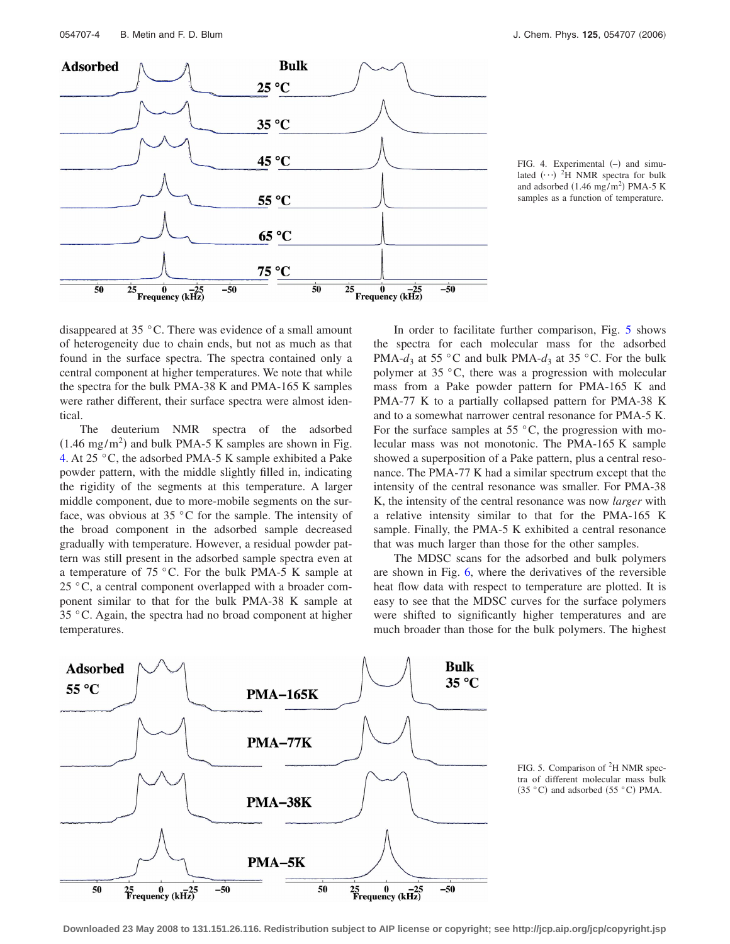<span id="page-4-0"></span>

FIG. 4. Experimental  $(-)$  and simulated  $(\cdots)^2$ H NMR spectra for bulk and adsorbed  $(1.46 \text{ mg/m}^2)$  PMA-5 K samples as a function of temperature.

disappeared at 35 °C. There was evidence of a small amount of heterogeneity due to chain ends, but not as much as that found in the surface spectra. The spectra contained only a central component at higher temperatures. We note that while the spectra for the bulk PMA-38 K and PMA-165 K samples were rather different, their surface spectra were almost identical.

The deuterium NMR spectra of the adsorbed  $(1.46 \text{ mg/m}^2)$  and bulk PMA-5 K samples are shown in Fig. 4. At 25 °C, the adsorbed PMA-5 K sample exhibited a Pake powder pattern, with the middle slightly filled in, indicating the rigidity of the segments at this temperature. A larger middle component, due to more-mobile segments on the surface, was obvious at 35  $\degree$ C for the sample. The intensity of the broad component in the adsorbed sample decreased gradually with temperature. However, a residual powder pattern was still present in the adsorbed sample spectra even at a temperature of 75 °C. For the bulk PMA-5 K sample at 25 °C, a central component overlapped with a broader component similar to that for the bulk PMA-38 K sample at 35 °C. Again, the spectra had no broad component at higher temperatures.

In order to facilitate further comparison, Fig. 5 shows the spectra for each molecular mass for the adsorbed PMA- $d_3$  at 55 °C and bulk PMA- $d_3$  at 35 °C. For the bulk polymer at 35 °C, there was a progression with molecular mass from a Pake powder pattern for PMA-165 K and PMA-77 K to a partially collapsed pattern for PMA-38 K and to a somewhat narrower central resonance for PMA-5 K. For the surface samples at  $55^{\circ}$ C, the progression with molecular mass was not monotonic. The PMA-165 K sample showed a superposition of a Pake pattern, plus a central resonance. The PMA-77 K had a similar spectrum except that the intensity of the central resonance was smaller. For PMA-38 K, the intensity of the central resonance was now *larger* with a relative intensity similar to that for the PMA-165 K sample. Finally, the PMA-5 K exhibited a central resonance that was much larger than those for the other samples.

The MDSC scans for the adsorbed and bulk polymers are shown in Fig. [6,](#page-5-0) where the derivatives of the reversible heat flow data with respect to temperature are plotted. It is easy to see that the MDSC curves for the surface polymers were shifted to significantly higher temperatures and are much broader than those for the bulk polymers. The highest





**Downloaded 23 May 2008 to 131.151.26.116. Redistribution subject to AIP license or copyright; see http://jcp.aip.org/jcp/copyright.jsp**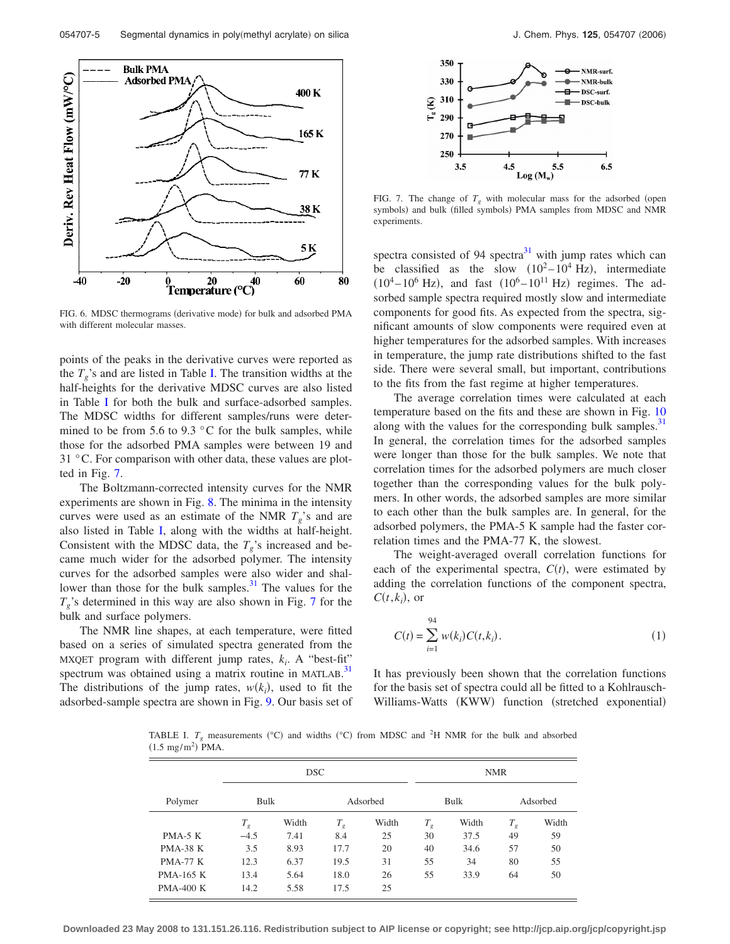<span id="page-5-0"></span>

FIG. 6. MDSC thermograms (derivative mode) for bulk and adsorbed PMA with different molecular masses.

points of the peaks in the derivative curves were reported as the  $T_g$ 's and are listed in Table I. The transition widths at the half-heights for the derivative MDSC curves are also listed in Table I for both the bulk and surface-adsorbed samples. The MDSC widths for different samples/runs were determined to be from 5.6 to 9.3  $\degree$ C for the bulk samples, while those for the adsorbed PMA samples were between 19 and 31 °C. For comparison with other data, these values are plotted in Fig. 7.

The Boltzmann-corrected intensity curves for the NMR experiments are shown in Fig. [8.](#page-6-0) The minima in the intensity curves were used as an estimate of the NMR  $T_g$ 's and are also listed in Table I, along with the widths at half-height. Consistent with the MDSC data, the  $T_g$ 's increased and became much wider for the adsorbed polymer. The intensity curves for the adsorbed samples were also wider and shallower than those for the bulk samples. $31$  The values for the  $T_g$ 's determined in this way are also shown in Fig. 7 for the bulk and surface polymers.

The NMR line shapes, at each temperature, were fitted based on a series of simulated spectra generated from the MXQET program with different jump rates,  $k_i$ . A "best-fit" spectrum was obtained using a matrix routine in MATLAB.<sup>[31](#page-8-0)</sup> The distributions of the jump rates,  $w(k_i)$ , used to fit the adsorbed-sample spectra are shown in Fig. [9.](#page-6-0) Our basis set of



FIG. 7. The change of  $T<sub>o</sub>$  with molecular mass for the adsorbed (open symbols) and bulk (filled symbols) PMA samples from MDSC and NMR experiments.

spectra consisted of 94 spectra $31$  with jump rates which can be classified as the slow  $(10^2 - 10^4 \text{ Hz})$ , intermediate  $(10^4 - 10^6 \text{ Hz})$ , and fast  $(10^6 - 10^{11} \text{ Hz})$  regimes. The adsorbed sample spectra required mostly slow and intermediate components for good fits. As expected from the spectra, significant amounts of slow components were required even at higher temperatures for the adsorbed samples. With increases in temperature, the jump rate distributions shifted to the fast side. There were several small, but important, contributions to the fits from the fast regime at higher temperatures.

The average correlation times were calculated at each temperature based on the fits and these are shown in Fig. [10](#page-6-0) along with the values for the corresponding bulk samples.<sup>31</sup> In general, the correlation times for the adsorbed samples were longer than those for the bulk samples. We note that correlation times for the adsorbed polymers are much closer together than the corresponding values for the bulk polymers. In other words, the adsorbed samples are more similar to each other than the bulk samples are. In general, for the adsorbed polymers, the PMA-5 K sample had the faster correlation times and the PMA-77 K, the slowest.

The weight-averaged overall correlation functions for each of the experimental spectra,  $C(t)$ , were estimated by adding the correlation functions of the component spectra,  $C(t, k_i)$ , or

$$
C(t) = \sum_{i=1}^{94} w(k_i) C(t, k_i).
$$
 (1)

It has previously been shown that the correlation functions for the basis set of spectra could all be fitted to a Kohlrausch-Williams-Watts (KWW) function (stretched exponential)

TABLE I.  $T_g$  measurements ( $^{\circ}$ C) and widths ( $^{\circ}$ C) from MDSC and <sup>2</sup>H NMR for the bulk and absorbed  $(1.5 \text{ mg/m}^2)$  PMA.

|                  | <b>DSC</b> |       |          |       | <b>NMR</b> |       |          |       |
|------------------|------------|-------|----------|-------|------------|-------|----------|-------|
| Polymer          | Bulk       |       | Adsorbed |       | Bulk       |       | Adsorbed |       |
|                  | $T_g$      | Width | $T_g$    | Width | $T_g$      | Width | $T_g$    | Width |
| $PMA-5 K$        | $-4.5$     | 7.41  | 8.4      | 25    | 30         | 37.5  | 49       | 59    |
| <b>PMA-38 K</b>  | 3.5        | 8.93  | 17.7     | 20    | 40         | 34.6  | 57       | 50    |
| <b>PMA-77 K</b>  | 12.3       | 6.37  | 19.5     | 31    | 55         | 34    | 80       | 55    |
| <b>PMA-165 K</b> | 13.4       | 5.64  | 18.0     | 26    | 55         | 33.9  | 64       | 50    |
| <b>PMA-400 K</b> | 14.2       | 5.58  | 17.5     | 25    |            |       |          |       |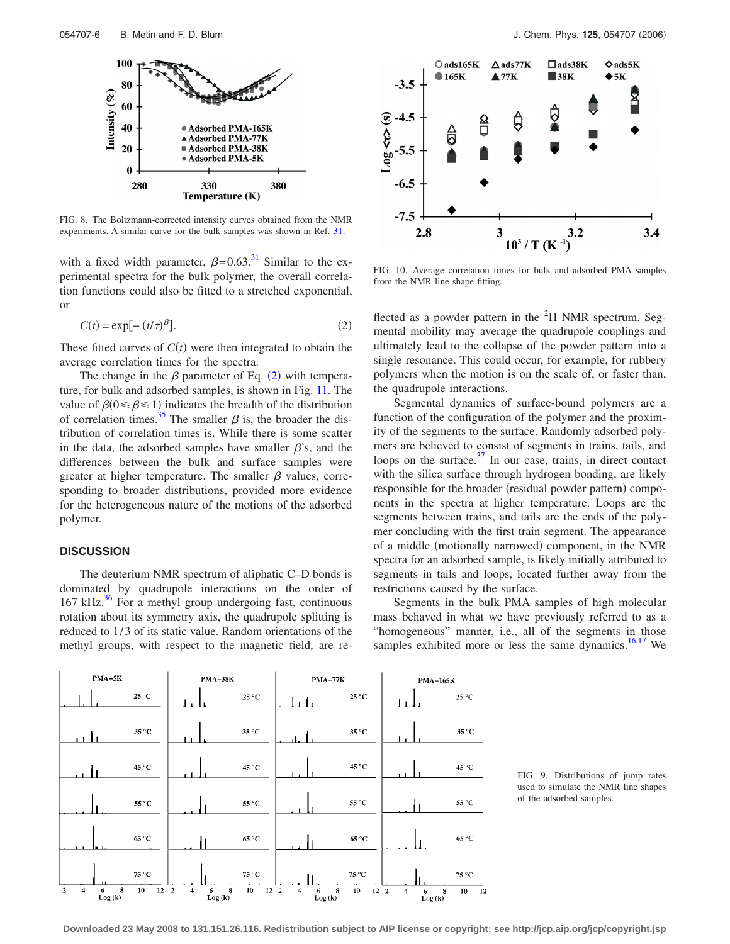<span id="page-6-0"></span>

FIG. 8. The Boltzmann-corrected intensity curves obtained from the NMR experiments. A similar curve for the bulk samples was shown in Ref. [31.](#page-8-0)

with a fixed width parameter,  $\beta$ =0.63.<sup>31</sup> Similar to the experimental spectra for the bulk polymer, the overall correlation functions could also be fitted to a stretched exponential, or

$$
C(t) = \exp[-\left(t/\tau\right)^{\beta}].
$$
\n(2)

These fitted curves of  $C(t)$  were then integrated to obtain the average correlation times for the spectra.

The change in the  $\beta$  parameter of Eq. (2) with temperature, for bulk and adsorbed samples, is shown in Fig. [11.](#page-7-0) The value of  $\beta(0 \le \beta \le 1)$  indicates the breadth of the distribution of correlation times.<sup>35</sup> The smaller  $\beta$  is, the broader the distribution of correlation times is. While there is some scatter in the data, the adsorbed samples have smaller  $\beta$ 's, and the differences between the bulk and surface samples were greater at higher temperature. The smaller  $\beta$  values, corresponding to broader distributions, provided more evidence for the heterogeneous nature of the motions of the adsorbed polymer.

## **DISCUSSION**

The deuterium NMR spectrum of aliphatic C–D bonds is dominated by quadrupole interactions on the order of  $167$  kHz.<sup>36</sup> For a methyl group undergoing fast, continuous rotation about its symmetry axis, the quadrupole splitting is reduced to 1/3 of its static value. Random orientations of the methyl groups, with respect to the magnetic field, are re-



FIG. 10. Average correlation times for bulk and adsorbed PMA samples from the NMR line shape fitting.

flected as a powder pattern in the  ${}^{2}H$  NMR spectrum. Segmental mobility may average the quadrupole couplings and ultimately lead to the collapse of the powder pattern into a single resonance. This could occur, for example, for rubbery polymers when the motion is on the scale of, or faster than, the quadrupole interactions.

Segmental dynamics of surface-bound polymers are a function of the configuration of the polymer and the proximity of the segments to the surface. Randomly adsorbed polymers are believed to consist of segments in trains, tails, and loops on the surface. $37$  In our case, trains, in direct contact with the silica surface through hydrogen bonding, are likely responsible for the broader (residual powder pattern) components in the spectra at higher temperature. Loops are the segments between trains, and tails are the ends of the polymer concluding with the first train segment. The appearance of a middle (motionally narrowed) component, in the NMR spectra for an adsorbed sample, is likely initially attributed to segments in tails and loops, located further away from the restrictions caused by the surface.

Segments in the bulk PMA samples of high molecular mass behaved in what we have previously referred to as a "homogeneous" manner, i.e., all of the segments in those samples exhibited more or less the same dynamics.<sup>16,17</sup> We

| $PMA-5K$ |                                                                                 | <b>PMA-38K</b>                                      | <b>PMA-77K</b>                                               | <b>PMA-165K</b>                                                     |  |  |
|----------|---------------------------------------------------------------------------------|-----------------------------------------------------|--------------------------------------------------------------|---------------------------------------------------------------------|--|--|
|          | $25\,^{\circ}\mathrm{C}$                                                        | $25\,^{\circ}\mathrm{C}$<br>ىلىل                    | $25\,^{\circ}\mathrm{C}$<br>$\mathbf{L}$<br>$\sim$           | 25 °C<br>11 Li                                                      |  |  |
|          | 35 °C                                                                           | 35 °C                                               | 35 °C                                                        | 35 °C                                                               |  |  |
|          | 45 °C                                                                           | 45 °C                                               | 45 °C                                                        | 45 °C                                                               |  |  |
|          | 55 °C                                                                           | $55\,^{\circ}\mathrm{C}$                            | 55 °C                                                        | 55 °C                                                               |  |  |
|          | 65 °C                                                                           | 65 °C                                               | 65 °C                                                        | 65 °C<br>П.                                                         |  |  |
|          | 75 °C                                                                           | 75 °C                                               | 75 °C                                                        | 75 °C                                                               |  |  |
|          | $\overline{2}$<br>10<br>$\boldsymbol{8}$<br>12 <sub>2</sub><br>4<br>6<br>Log(k) | $\bf8$<br>10<br>12 <sub>2</sub><br>4<br>6<br>Log(k) | 8<br>10<br>12 <sub>2</sub><br>$\overline{4}$<br>6<br>Log (k) | ${\bf 8}$<br>6<br>10 <sub>1</sub><br>$\overline{12}$<br>4<br>Log(k) |  |  |

FIG. 9. Distributions of jump rates used to simulate the NMR line shapes of the adsorbed samples.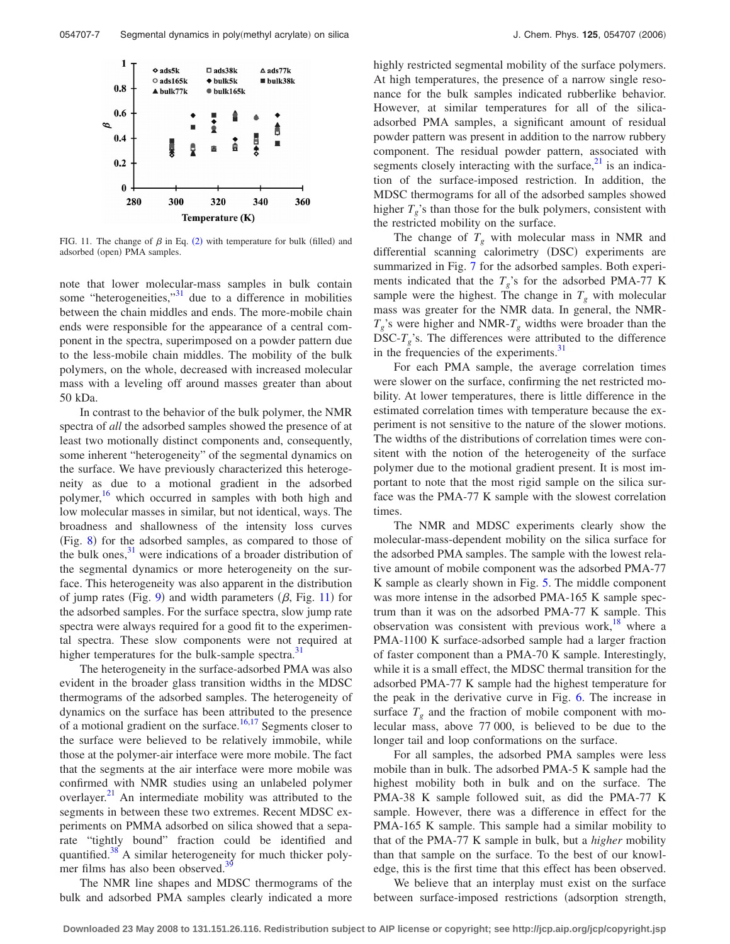<span id="page-7-0"></span>

FIG. 11. The change of  $\beta$  in Eq. ([2](#page-6-0)) with temperature for bulk (filled) and adsorbed (open) PMA samples.

note that lower molecular-mass samples in bulk contain some "heterogeneities, $\cdot$ <sup>31</sup> due to a difference in mobilities between the chain middles and ends. The more-mobile chain ends were responsible for the appearance of a central component in the spectra, superimposed on a powder pattern due to the less-mobile chain middles. The mobility of the bulk polymers, on the whole, decreased with increased molecular mass with a leveling off around masses greater than about 50 kDa.

In contrast to the behavior of the bulk polymer, the NMR spectra of *all* the adsorbed samples showed the presence of at least two motionally distinct components and, consequently, some inherent "heterogeneity" of the segmental dynamics on the surface. We have previously characterized this heterogeneity as due to a motional gradient in the adsorbed polymer, $\frac{16}{16}$  which occurred in samples with both high and low molecular masses in similar, but not identical, ways. The broadness and shallowness of the intensity loss curves (Fig. [8](#page-6-0)) for the adsorbed samples, as compared to those of the bulk ones, $31$  were indications of a broader distribution of the segmental dynamics or more heterogeneity on the surface. This heterogeneity was also apparent in the distribution of jump rates (Fig. [9](#page-6-0)) and width parameters  $(\beta,$  Fig. 11) for the adsorbed samples. For the surface spectra, slow jump rate spectra were always required for a good fit to the experimental spectra. These slow components were not required at higher temperatures for the bulk-sample spectra.<sup>3</sup>

The heterogeneity in the surface-adsorbed PMA was also evident in the broader glass transition widths in the MDSC thermograms of the adsorbed samples. The heterogeneity of dynamics on the surface has been attributed to the presence of a motional gradient on the surface.<sup>16,17</sup> Segments closer to the surface were believed to be relatively immobile, while those at the polymer-air interface were more mobile. The fact that the segments at the air interface were more mobile was confirmed with NMR studies using an unlabeled polymer overlayer.<sup>21</sup> An intermediate mobility was attributed to the segments in between these two extremes. Recent MDSC experiments on PMMA adsorbed on silica showed that a separate "tightly bound" fraction could be identified and quantified.<sup>38</sup> A similar heterogeneity for much thicker polymer films has also been observed.<sup>39</sup>

The NMR line shapes and MDSC thermograms of the bulk and adsorbed PMA samples clearly indicated a more highly restricted segmental mobility of the surface polymers. At high temperatures, the presence of a narrow single resonance for the bulk samples indicated rubberlike behavior. However, at similar temperatures for all of the silicaadsorbed PMA samples, a significant amount of residual powder pattern was present in addition to the narrow rubbery component. The residual powder pattern, associated with segments closely interacting with the surface, $2<sup>1</sup>$  is an indication of the surface-imposed restriction. In addition, the MDSC thermograms for all of the adsorbed samples showed higher  $T_g$ 's than those for the bulk polymers, consistent with the restricted mobility on the surface.

The change of  $T_g$  with molecular mass in NMR and differential scanning calorimetry (DSC) experiments are summarized in Fig. [7](#page-5-0) for the adsorbed samples. Both experiments indicated that the  $T_g$ 's for the adsorbed PMA-77 K sample were the highest. The change in  $T<sub>g</sub>$  with molecular mass was greater for the NMR data. In general, the NMR- $T_g$ 's were higher and NMR- $T_g$  widths were broader than the DSC- $T_g$ 's. The differences were attributed to the difference in the frequencies of the experiments.<sup>31</sup>

For each PMA sample, the average correlation times were slower on the surface, confirming the net restricted mobility. At lower temperatures, there is little difference in the estimated correlation times with temperature because the experiment is not sensitive to the nature of the slower motions. The widths of the distributions of correlation times were consitent with the notion of the heterogeneity of the surface polymer due to the motional gradient present. It is most important to note that the most rigid sample on the silica surface was the PMA-77 K sample with the slowest correlation times.

The NMR and MDSC experiments clearly show the molecular-mass-dependent mobility on the silica surface for the adsorbed PMA samples. The sample with the lowest relative amount of mobile component was the adsorbed PMA-77 K sample as clearly shown in Fig. [5.](#page-4-0) The middle component was more intense in the adsorbed PMA-165 K sample spectrum than it was on the adsorbed PMA-77 K sample. This observation was consistent with previous work, $18$  where a PMA-1100 K surface-adsorbed sample had a larger fraction of faster component than a PMA-70 K sample. Interestingly, while it is a small effect, the MDSC thermal transition for the adsorbed PMA-77 K sample had the highest temperature for the peak in the derivative curve in Fig. [6.](#page-5-0) The increase in surface  $T<sub>g</sub>$  and the fraction of mobile component with molecular mass, above 77 000, is believed to be due to the longer tail and loop conformations on the surface.

For all samples, the adsorbed PMA samples were less mobile than in bulk. The adsorbed PMA-5 K sample had the highest mobility both in bulk and on the surface. The PMA-38 K sample followed suit, as did the PMA-77 K sample. However, there was a difference in effect for the PMA-165 K sample. This sample had a similar mobility to that of the PMA-77 K sample in bulk, but a *higher* mobility than that sample on the surface. To the best of our knowledge, this is the first time that this effect has been observed.

We believe that an interplay must exist on the surface between surface-imposed restrictions (adsorption strength,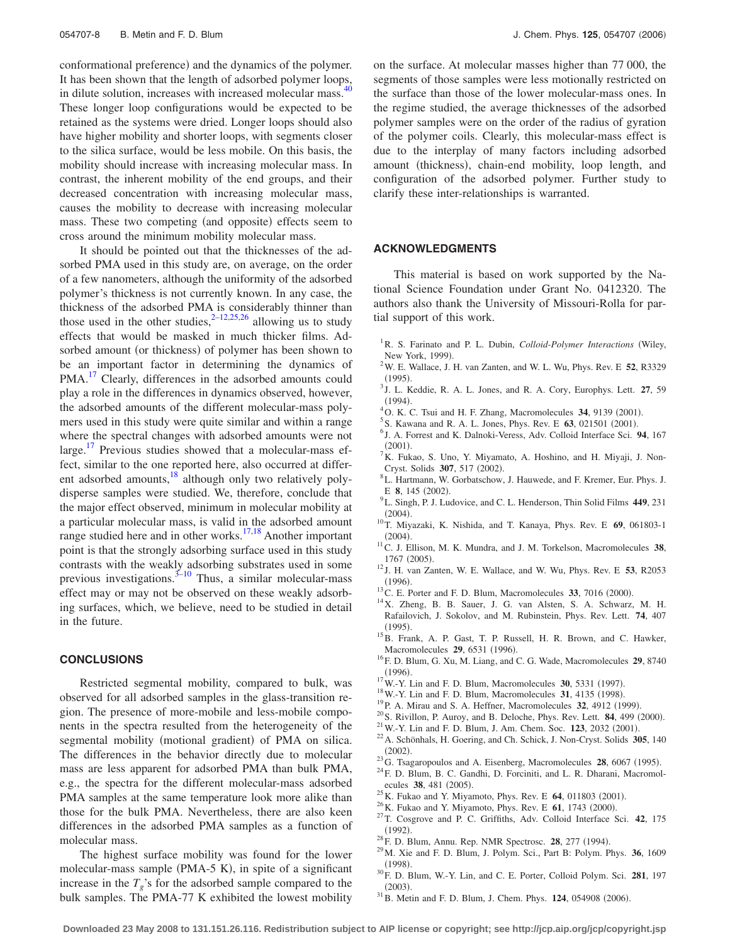<span id="page-8-0"></span>conformational preference) and the dynamics of the polymer. It has been shown that the length of adsorbed polymer loops, in dilute solution, increases with increased molecular mass.<sup>4</sup> These longer loop configurations would be expected to be retained as the systems were dried. Longer loops should also have higher mobility and shorter loops, with segments closer to the silica surface, would be less mobile. On this basis, the mobility should increase with increasing molecular mass. In contrast, the inherent mobility of the end groups, and their decreased concentration with increasing molecular mass, causes the mobility to decrease with increasing molecular mass. These two competing (and opposite) effects seem to cross around the minimum mobility molecular mass.

It should be pointed out that the thicknesses of the adsorbed PMA used in this study are, on average, on the order of a few nanometers, although the uniformity of the adsorbed polymer's thickness is not currently known. In any case, the thickness of the adsorbed PMA is considerably thinner than those used in the other studies,  $2\frac{2-12}{25,26}$  allowing us to study effects that would be masked in much thicker films. Adsorbed amount (or thickness) of polymer has been shown to be an important factor in determining the dynamics of PMA.<sup>17</sup> Clearly, differences in the adsorbed amounts could play a role in the differences in dynamics observed, however, the adsorbed amounts of the different molecular-mass polymers used in this study were quite similar and within a range where the spectral changes with adsorbed amounts were not large.<sup>17</sup> Previous studies showed that a molecular-mass effect, similar to the one reported here, also occurred at different adsorbed amounts, $^{18}$  although only two relatively polydisperse samples were studied. We, therefore, conclude that the major effect observed, minimum in molecular mobility at a particular molecular mass, is valid in the adsorbed amount range studied here and in other works.<sup>17,18</sup> Another important point is that the strongly adsorbing surface used in this study contrasts with the weakly adsorbing substrates used in some previous investigations.<sup>3–10</sup> Thus, a similar molecular-mass effect may or may not be observed on these weakly adsorbing surfaces, which, we believe, need to be studied in detail in the future.

#### **CONCLUSIONS**

Restricted segmental mobility, compared to bulk, was observed for all adsorbed samples in the glass-transition region. The presence of more-mobile and less-mobile components in the spectra resulted from the heterogeneity of the segmental mobility (motional gradient) of PMA on silica. The differences in the behavior directly due to molecular mass are less apparent for adsorbed PMA than bulk PMA, e.g., the spectra for the different molecular-mass adsorbed PMA samples at the same temperature look more alike than those for the bulk PMA. Nevertheless, there are also keen differences in the adsorbed PMA samples as a function of molecular mass.

on the surface. At molecular masses higher than 77 000, the segments of those samples were less motionally restricted on the surface than those of the lower molecular-mass ones. In the regime studied, the average thicknesses of the adsorbed polymer samples were on the order of the radius of gyration of the polymer coils. Clearly, this molecular-mass effect is due to the interplay of many factors including adsorbed amount (thickness), chain-end mobility, loop length, and configuration of the adsorbed polymer. Further study to clarify these inter-relationships is warranted.

#### **ACKNOWLEDGMENTS**

This material is based on work supported by the National Science Foundation under Grant No. 0412320. The authors also thank the University of Missouri-Rolla for partial support of this work.

- <sup>1</sup> R. S. Farinato and P. L. Dubin, *Colloid-Polymer Interactions* (Wiley, New York, 1999).<br> $^{2}$ W E Wellege L
- W. E. Wallace, J. H. van Zanten, and W. L. Wu, Phys. Rev. E **52**, R3329  $(1995).$ . <sup>3</sup> J. L. Keddie, R. A. L. Jones, and R. A. Cory, Europhys. Lett. **27**, 59
- $(1994)$ .
- (1994).<br><sup>4</sup> O. K. C. Tsui and H. F. Zhang, Macromolecules **34**, 9139 (2001).<br><sup>5</sup> S. Kewang and B. A. J. Jones, Phys. Boy, E. 63, 021501 (2001).
- ${}^{5}S$ . Kawana and R. A. L. Jones, Phys. Rev. E **63**, 021501 (2001).
- <sup>6</sup> J. A. Forrest and K. Dalnoki-Veress, Adv. Colloid Interface Sci. 94, 167  $(2001).$
- (2001).<br><sup>7</sup> K. Fukao, S. Uno, Y. Miyamato, A. Hoshino, and H. Miyaji, J. Non-Cryst. Solids **307**, 517 (2002).
- L. Hartmann, W. Gorbatschow, J. Hauwede, and F. Kremer, Eur. Phys. J. E **8**, 145 (2002).
- L. Singh, P. J. Ludovice, and C. L. Henderson, Thin Solid Films **449**, 231  $(2004).$
- . 10T. Miyazaki, K. Nishida, and T. Kanaya, Phys. Rev. E **<sup>69</sup>**, 061803-1  $(2004).$
- . 11C. J. Ellison, M. K. Mundra, and J. M. Torkelson, Macromolecules **<sup>38</sup>**, 1767 (2005).
- . <sup>12</sup> J. H. van Zanten, W. E. Wallace, and W. Wu, Phys. Rev. E **<sup>53</sup>**, R2053  $(1996).$
- $13^{\circ}$ C. E. Porter and F. D. Blum, Macromolecules **33**, 7016 (2000).
- <sup>14</sup>X. Zheng, B. B. Sauer, J. G. van Alsten, S. A. Schwarz, M. H. Rafailovich, J. Sokolov, and M. Rubinstein, Phys. Rev. Lett. **74**, 407  $(1995)$
- <sup>15</sup>B. Frank, A. P. Gast, T. P. Russell, H. R. Brown, and C. Hawker, Macromolecules **29**, 6531 (1996).
- <sup>16</sup>F. D. Blum, G. Xu, M. Liang, and C. G. Wade, Macromolecules **29**, 8740  $(1996).$
- <sup>17</sup>W.-Y. Lin and F. D. Blum, Macromolecules **30**, 5331 (1997).
- <sup>18</sup> W.-Y. Lin and F. D. Blum, Macromolecules **31**, 4135 (1998).
- <sup>19</sup> P. A. Mirau and S. A. Heffner, Macromolecules 32, 4912 (1999).
- $^{20}$ S. Rivillon, P. Auroy, and B. Deloche, Phys. Rev. Lett. **84**, 499 (2000).
- $^{21}$ W.-Y. Lin and F. D. Blum, J. Am. Chem. Soc. **123**, 2032 (2001).
- . 22A. Schönhals, H. Goering, and Ch. Schick, J. Non-Cryst. Solids **<sup>305</sup>**, 140  $(2002).$
- <sup>23</sup>G. Tsagaropoulos and A. Eisenberg, Macromolecules **28**, 6067 (1995).
- <sup>24</sup>F. D. Blum, B. C. Gandhi, D. Forciniti, and L. R. Dharani, Macromolecules 38, 481 (2005).
- <sup>25</sup>K. Fukao and Y. Miyamoto, Phys. Rev. E **64**, 011803 (2001).
- <sup>26</sup> K. Fukao and Y. Miyamoto, Phys. Rev. E **61**, 1743 (2000).
- . 27T. Cosgrove and P. C. Griffiths, Adv. Colloid Interface Sci. **<sup>42</sup>**, 175  $(1992).$
- <sup>28</sup>F. D. Blum, Annu. Rep. NMR Spectrosc. **28**, 277 (1994).
- . 29M. Xie and F. D. Blum, J. Polym. Sci., Part B: Polym. Phys. **<sup>36</sup>**, 1609  $(1998).$
- . 30F. D. Blum, W.-Y. Lin, and C. E. Porter, Colloid Polym. Sci. **<sup>281</sup>**, 197  $(2003)$ . (2003).<br><sup>31</sup> B. Metin and F. D. Blum, J. Chem. Phys. **124**, 054908 (2006).
-